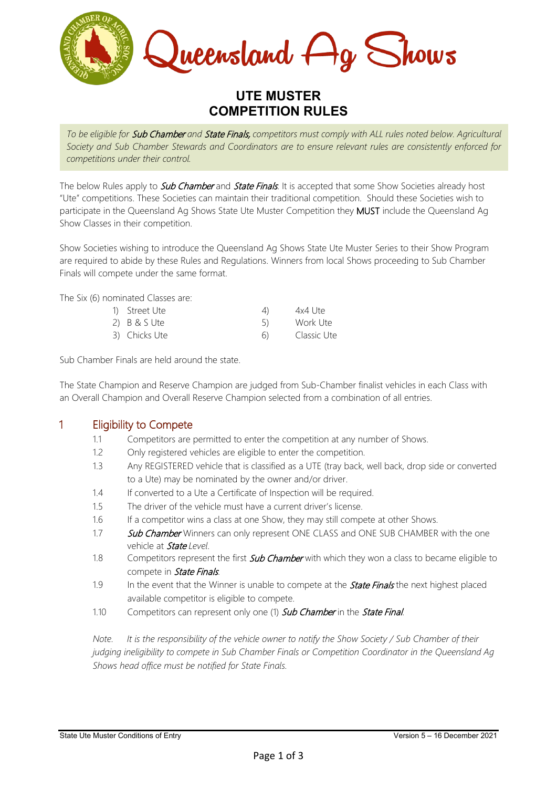

# **UTE MUSTER COMPETITION RULES**

*To be eligible for* Sub Chamber *and* State Finals, *competitors must comply with ALL rules noted below. Agricultural Society and Sub Chamber Stewards and Coordinators are to ensure relevant rules are consistently enforced for competitions under their control.* 

The below Rules apply to **Sub Chamber** and **State Finals**. It is accepted that some Show Societies already host "Ute" competitions. These Societies can maintain their traditional competition. Should these Societies wish to participate in the Queensland Ag Shows State Ute Muster Competition they MUST include the Queensland Ag Show Classes in their competition.

Show Societies wishing to introduce the Queensland Ag Shows State Ute Muster Series to their Show Program are required to abide by these Rules and Regulations. Winners from local Shows proceeding to Sub Chamber Finals will compete under the same format.

The Six (6) nominated Classes are:

| 1) Street Ute  | 4)  | 4x4 Ute     |
|----------------|-----|-------------|
| $2)$ B & S Ute |     | Work Ute    |
| 3) Chicks Ute  | (h) | Classic Ute |

Sub Chamber Finals are held around the state.

The State Champion and Reserve Champion are judged from Sub-Chamber finalist vehicles in each Class with an Overall Champion and Overall Reserve Champion selected from a combination of all entries.

#### 1 Eligibility to Compete

- 1.1 Competitors are permitted to enter the competition at any number of Shows.
- 1.2 Only registered vehicles are eligible to enter the competition.
- 1.3 Any REGISTERED vehicle that is classified as a UTE (tray back, well back, drop side or converted to a Ute) may be nominated by the owner and/or driver.
- 1.4 If converted to a Ute a Certificate of Inspection will be required.
- 1.5 The driver of the vehicle must have a current driver's license.
- 1.6 If a competitor wins a class at one Show, they may still compete at other Shows.
- 1.7 Sub Chamber Winners can only represent ONE CLASS and ONE SUB CHAMBER with the one vehicle at State *Level*.
- 1.8 Competitors represent the first **Sub Chamber** with which they won a class to became eligible to compete in **State Finals**.
- 1.9 In the event that the Winner is unable to compete at the **State Finals** the next highest placed available competitor is eligible to compete.
- 1.10 Competitors can represent only one (1) **Sub Chamber** in the **State Final.**

*Note. It is the responsibility of the vehicle owner to notify the Show Society / Sub Chamber of their judging ineligibility to compete in Sub Chamber Finals or Competition Coordinator in the Queensland Ag Shows head office must be notified for State Finals.*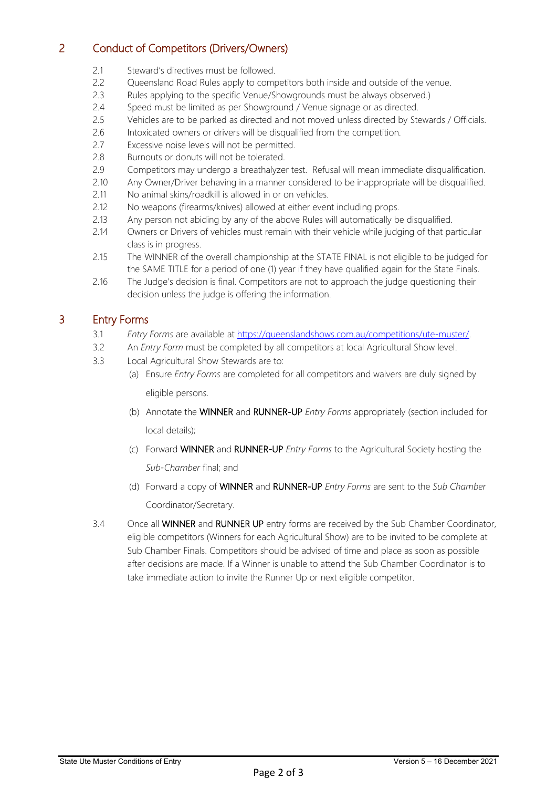# 2 Conduct of Competitors (Drivers/Owners)

- 2.1 Steward's directives must be followed.
- 2.2 Queensland Road Rules apply to competitors both inside and outside of the venue.
- 2.3 Rules applying to the specific Venue/Showgrounds must be always observed.)
- 2.4 Speed must be limited as per Showground / Venue signage or as directed.<br>2.5 Vehicles are to be parked as directed and not moved unless directed by Ste
- Vehicles are to be parked as directed and not moved unless directed by Stewards / Officials.
- 2.6 Intoxicated owners or drivers will be disqualified from the competition.
- 2.7 Excessive noise levels will not be permitted.
- 2.8 Burnouts or donuts will not be tolerated.
- 2.9 Competitors may undergo a breathalyzer test. Refusal will mean immediate disqualification.
- 2.10 Any Owner/Driver behaving in a manner considered to be inappropriate will be disqualified.
- 2.11 No animal skins/roadkill is allowed in or on vehicles.
- 2.12 No weapons (firearms/knives) allowed at either event including props.
- 2.13 Any person not abiding by any of the above Rules will automatically be disqualified.
- 2.14 Owners or Drivers of vehicles must remain with their vehicle while judging of that particular class is in progress.
- 2.15 The WINNER of the overall championship at the STATE FINAL is not eligible to be judged for the SAME TITLE for a period of one (1) year if they have qualified again for the State Finals.
- 2.16 The Judge's decision is final. Competitors are not to approach the judge questioning their decision unless the judge is offering the information.

#### 3 Entry Forms

- 3.1 *Entry Forms* are available at [https://queenslandshows.com.au/competitions/ute-muster/.](https://queenslandshows.com.au/competitions/ute-muster/)
- 3.2 An *Entry Form* must be completed by all competitors at local Agricultural Show level.
- 3.3 Local Agricultural Show Stewards are to:
	- (a) Ensure *Entry Forms* are completed for all competitors and waivers are duly signed by eligible persons.
	- (b) Annotate the WINNER and RUNNER-UP *Entry Forms* appropriately (section included for local details);
	- (c) Forward WINNER and RUNNER-UP *Entry Forms* to the Agricultural Society hosting the *Sub-Chamber* final; and
	- (d) Forward a copy of WINNER and RUNNER-UP *Entry Forms* are sent to the *Sub Chamber* Coordinator/Secretary.
- 3.4 Once all WINNER and RUNNER UP entry forms are received by the Sub Chamber Coordinator, eligible competitors (Winners for each Agricultural Show) are to be invited to be complete at Sub Chamber Finals. Competitors should be advised of time and place as soon as possible after decisions are made. If a Winner is unable to attend the Sub Chamber Coordinator is to take immediate action to invite the Runner Up or next eligible competitor.